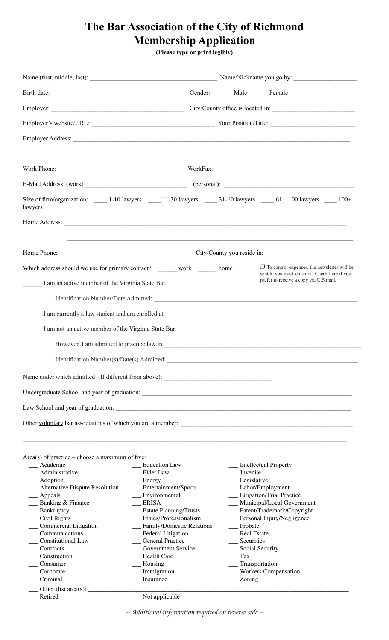## **The Bar Association of the City of Richmond Membership Application**

**(Please type or print legibly)**

| Birth date:                                                                                                                                                                                                                          |                                                        | Gender: Male Female                                                                                                                                                                                                           |                                                                                         |  |  |
|--------------------------------------------------------------------------------------------------------------------------------------------------------------------------------------------------------------------------------------|--------------------------------------------------------|-------------------------------------------------------------------------------------------------------------------------------------------------------------------------------------------------------------------------------|-----------------------------------------------------------------------------------------|--|--|
|                                                                                                                                                                                                                                      |                                                        |                                                                                                                                                                                                                               |                                                                                         |  |  |
|                                                                                                                                                                                                                                      |                                                        |                                                                                                                                                                                                                               |                                                                                         |  |  |
|                                                                                                                                                                                                                                      |                                                        |                                                                                                                                                                                                                               |                                                                                         |  |  |
|                                                                                                                                                                                                                                      |                                                        |                                                                                                                                                                                                                               | ,我们也不能会在这里,我们的人们就会在这里,我们的人们就会在这里,我们的人们就会在这里,我们的人们就会在这里,我们的人们就会在这里,我们的人们就会在这里,我们的        |  |  |
|                                                                                                                                                                                                                                      |                                                        |                                                                                                                                                                                                                               |                                                                                         |  |  |
| Size of firm/organization: 1-10 lawyers 11-30 lawyers 31-60 lawyers 61 - 100 lawyers 100+<br>lawyers                                                                                                                                 |                                                        |                                                                                                                                                                                                                               |                                                                                         |  |  |
| Home Address: <u>example and the set of the set of the set of the set of the set of the set of the set of the set of the set of the set of the set of the set of the set of the set of the set of the set of the set of the set </u> |                                                        |                                                                                                                                                                                                                               |                                                                                         |  |  |
|                                                                                                                                                                                                                                      |                                                        |                                                                                                                                                                                                                               | <u> 1989 - Johann Stoff, amerikansk politiker (d. 1989)</u>                             |  |  |
| Which address should we use for primary contact? _____ work _____ home                                                                                                                                                               |                                                        |                                                                                                                                                                                                                               | $\Box$ To control expenses, the newsletter will be                                      |  |  |
| I am an active member of the Virginia State Bar.                                                                                                                                                                                     |                                                        |                                                                                                                                                                                                                               | sent to you electronically. Check here if you<br>prefer to receive a copy via U.S.mail. |  |  |
|                                                                                                                                                                                                                                      |                                                        |                                                                                                                                                                                                                               |                                                                                         |  |  |
|                                                                                                                                                                                                                                      |                                                        |                                                                                                                                                                                                                               |                                                                                         |  |  |
|                                                                                                                                                                                                                                      |                                                        |                                                                                                                                                                                                                               |                                                                                         |  |  |
| I am not an active member of the Virginia State Bar.                                                                                                                                                                                 |                                                        |                                                                                                                                                                                                                               |                                                                                         |  |  |
|                                                                                                                                                                                                                                      |                                                        |                                                                                                                                                                                                                               |                                                                                         |  |  |
| Identification Number(s)/Date(s) Admitted:                                                                                                                                                                                           |                                                        | the control of the control of the control of the control of the control of the control of the control of the control of the control of the control of the control of the control of the control of the control of the control |                                                                                         |  |  |
| Name under which admitted (If different from above): ____________________________                                                                                                                                                    |                                                        |                                                                                                                                                                                                                               |                                                                                         |  |  |
|                                                                                                                                                                                                                                      |                                                        |                                                                                                                                                                                                                               |                                                                                         |  |  |
|                                                                                                                                                                                                                                      |                                                        |                                                                                                                                                                                                                               |                                                                                         |  |  |
|                                                                                                                                                                                                                                      |                                                        |                                                                                                                                                                                                                               |                                                                                         |  |  |
|                                                                                                                                                                                                                                      |                                                        |                                                                                                                                                                                                                               |                                                                                         |  |  |
|                                                                                                                                                                                                                                      |                                                        |                                                                                                                                                                                                                               |                                                                                         |  |  |
|                                                                                                                                                                                                                                      |                                                        |                                                                                                                                                                                                                               |                                                                                         |  |  |
| Area(s) of practice – choose a maximum of five:<br>__ Academic                                                                                                                                                                       | __ Education Law                                       |                                                                                                                                                                                                                               | __ Intellectual Property                                                                |  |  |
| __ Administrative                                                                                                                                                                                                                    | __ Elder Law                                           | $\_\_\$ Juvenile                                                                                                                                                                                                              |                                                                                         |  |  |
| __ Adoption                                                                                                                                                                                                                          | $\equiv$ Energy                                        | __ Legislative                                                                                                                                                                                                                |                                                                                         |  |  |
| __ Alternative Dispute Resolution                                                                                                                                                                                                    | __ Entertainment/Sports                                |                                                                                                                                                                                                                               | __ Labor/Employment                                                                     |  |  |
| $\_\_\$ Appeals                                                                                                                                                                                                                      | __ Environmental                                       |                                                                                                                                                                                                                               | __ Litigation/Trial Practice                                                            |  |  |
| __ Banking & Finance                                                                                                                                                                                                                 | RISA                                                   |                                                                                                                                                                                                                               | __ Municipal/Local Government                                                           |  |  |
| $\_\_\$ Bankruptcy<br>$\_\_$ Civil Rights                                                                                                                                                                                            | __ Estate Planning/Trusts<br>__ Ethics/Professionalism |                                                                                                                                                                                                                               | __ Patent/Trademark/Copyright<br>__ Personal Injury/Negligence                          |  |  |
| __ Commercial Litigation                                                                                                                                                                                                             | __ Family/Domestic Relations                           | __ Probate                                                                                                                                                                                                                    |                                                                                         |  |  |
| Communications                                                                                                                                                                                                                       | __ Federal Litigation                                  | __ Real Estate                                                                                                                                                                                                                |                                                                                         |  |  |
| <b>Constitutional Law</b>                                                                                                                                                                                                            | __ General Practice                                    | __ Securities                                                                                                                                                                                                                 |                                                                                         |  |  |
| ___ Contracts                                                                                                                                                                                                                        | __ Government Service                                  | __ Social Security                                                                                                                                                                                                            |                                                                                         |  |  |
| Construction                                                                                                                                                                                                                         | __ Health Care                                         | $\frac{1}{2}$ Tax                                                                                                                                                                                                             |                                                                                         |  |  |
| Consumer                                                                                                                                                                                                                             | $\_\_\$ Housing                                        | __ Transportation                                                                                                                                                                                                             |                                                                                         |  |  |
| Corporate                                                                                                                                                                                                                            | __ Immigration                                         |                                                                                                                                                                                                                               | __ Workers Compensation                                                                 |  |  |
| Criminal                                                                                                                                                                                                                             | Insurance                                              | Zoning                                                                                                                                                                                                                        |                                                                                         |  |  |
|                                                                                                                                                                                                                                      |                                                        |                                                                                                                                                                                                                               |                                                                                         |  |  |
| Retired                                                                                                                                                                                                                              | Not applicable                                         |                                                                                                                                                                                                                               |                                                                                         |  |  |

*-- Additional information required on reverse side --*